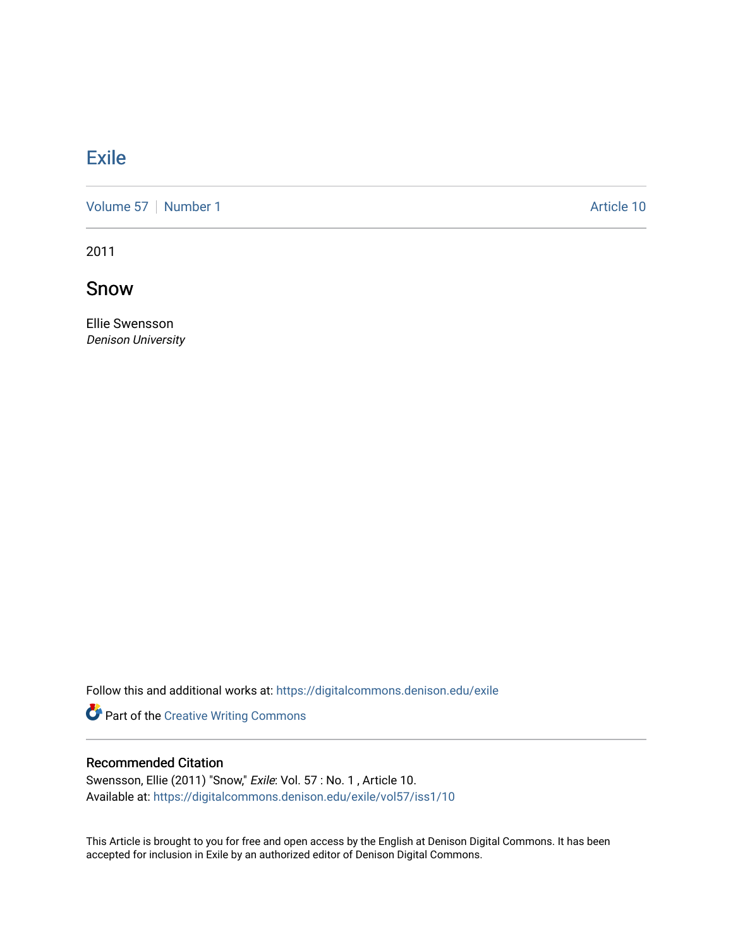## **[Exile](https://digitalcommons.denison.edu/exile)**

[Volume 57](https://digitalcommons.denison.edu/exile/vol57) | [Number 1](https://digitalcommons.denison.edu/exile/vol57/iss1) Article 10

2011

Snow

Ellie Swensson Denison University

Follow this and additional works at: [https://digitalcommons.denison.edu/exile](https://digitalcommons.denison.edu/exile?utm_source=digitalcommons.denison.edu%2Fexile%2Fvol57%2Fiss1%2F10&utm_medium=PDF&utm_campaign=PDFCoverPages) 

Part of the [Creative Writing Commons](http://network.bepress.com/hgg/discipline/574?utm_source=digitalcommons.denison.edu%2Fexile%2Fvol57%2Fiss1%2F10&utm_medium=PDF&utm_campaign=PDFCoverPages) 

## Recommended Citation

Swensson, Ellie (2011) "Snow," Exile: Vol. 57 : No. 1 , Article 10. Available at: [https://digitalcommons.denison.edu/exile/vol57/iss1/10](https://digitalcommons.denison.edu/exile/vol57/iss1/10?utm_source=digitalcommons.denison.edu%2Fexile%2Fvol57%2Fiss1%2F10&utm_medium=PDF&utm_campaign=PDFCoverPages)

This Article is brought to you for free and open access by the English at Denison Digital Commons. It has been accepted for inclusion in Exile by an authorized editor of Denison Digital Commons.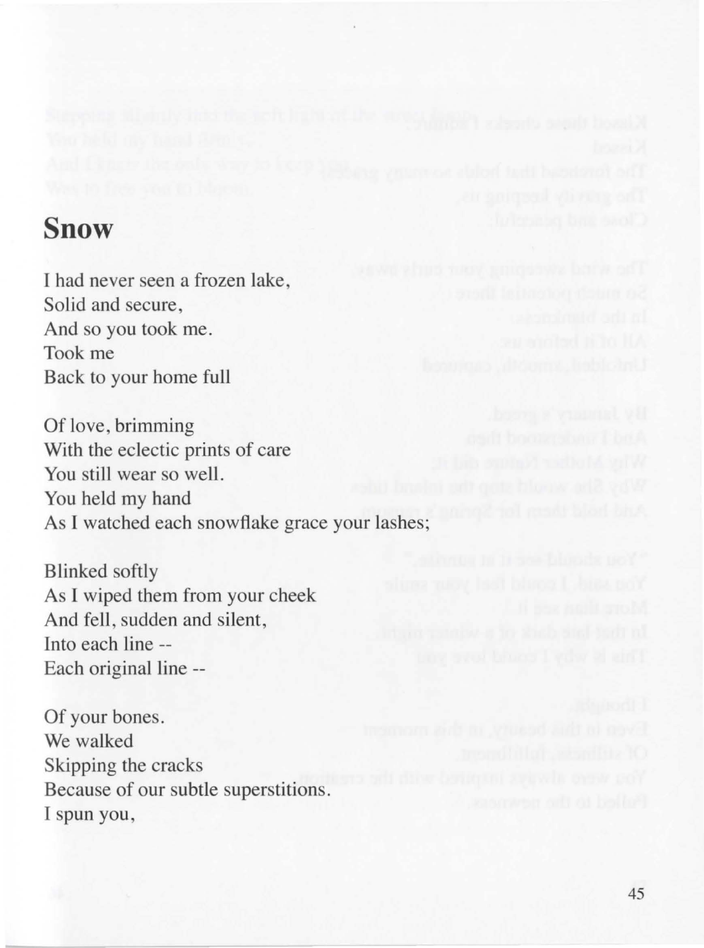## **Snow**

I had never seen a frozen lake, Solid and secure, And so you took me. Took me Back to your home full

Of love, brimming With the eclectic prints of care You still wear so well. You held my hand As I watched each snowflake grace your lashes;

Blinked softly As I wiped them from your cheek And fell, sudden and silent, Into each line -- Each original line --

Of your bones. We walked Skipping the cracks Because of our subtle superstitions. I spun you,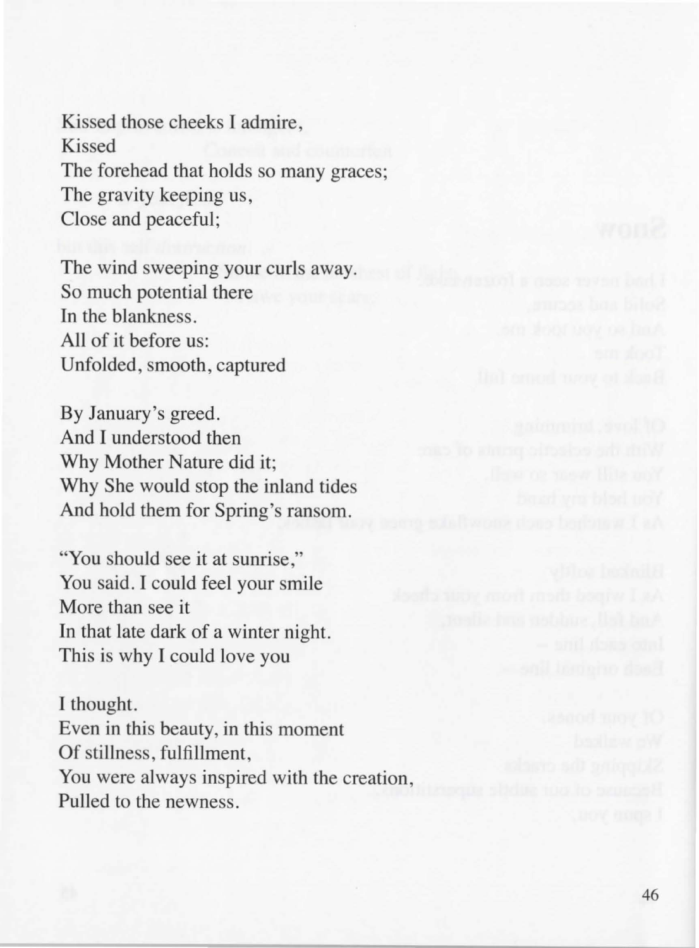Kissed those cheeks I admire, Kissed The forehead that holds so many graces; The gravity keeping us, Close and peaceful;

The wind sweeping your curls away. So much potential there In the blankness. All of it before us: Unfolded, smooth, captured

By January's greed. And I understood then Why Mother Nature did it; Why She would stop the inland tides And hold them for Spring's ransom.

"You should see it at sunrise," You said. I could feel your smile More than see it In that late dark of a winter night. This is why I could love you

I thought. Even in this beauty, in this moment Of stillness, fulfillment, You were always inspired with the creation, Pulled to the newness.